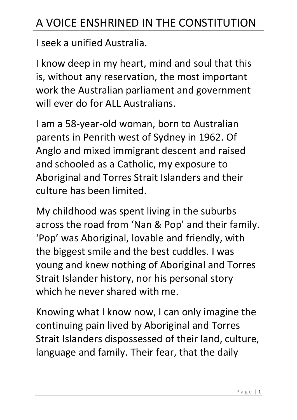## A VOICE ENSHRINED IN THE CONSTITUTION

I seek a unified Australia.

I know deep in my heart, mind and soul that this is, without any reservation, the most important work the Australian parliament and government will ever do for ALL Australians.

I am a 58-year-old woman, born to Australian parents in Penrith west of Sydney in 1962. Of Anglo and mixed immigrant descent and raised and schooled as a Catholic, my exposure to Aboriginal and Torres Strait Islanders and their culture has been limited.

My childhood was spent living in the suburbs across the road from 'Nan & Pop' and their family. 'Pop' was Aboriginal, lovable and friendly, with the biggest smile and the best cuddles. I was young and knew nothing of Aboriginal and Torres Strait Islander history, nor his personal story which he never shared with me.

Knowing what I know now, I can only imagine the continuing pain lived by Aboriginal and Torres Strait Islanders dispossessed of their land, culture, language and family. Their fear, that the daily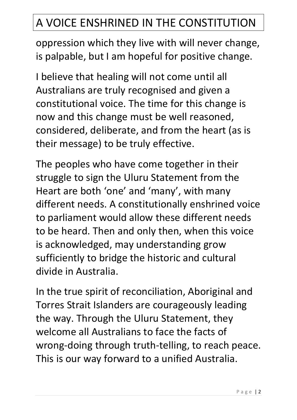## A VOICE ENSHRINED IN THE CONSTITUTION

oppression which they live with will never change, is palpable, but I am hopeful for positive change.

I believe that healing will not come until all Australians are truly recognised and given a constitutional voice. The time for this change is now and this change must be well reasoned, considered, deliberate, and from the heart (as is their message) to be truly effective.

The peoples who have come together in their struggle to sign the Uluru Statement from the Heart are both 'one' and 'many', with many different needs. A constitutionally enshrined voice to parliament would allow these different needs to be heard. Then and only then, when this voice is acknowledged, may understanding grow sufficiently to bridge the historic and cultural divide in Australia.

In the true spirit of reconciliation, Aboriginal and Torres Strait Islanders are courageously leading the way. Through the Uluru Statement, they welcome all Australians to face the facts of wrong-doing through truth-telling, to reach peace. This is our way forward to a unified Australia.